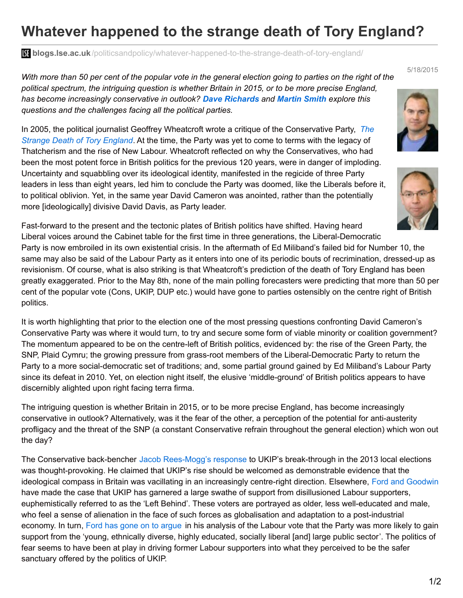## **Whatever happened to the strange death of Tory England?**

**blogs.lse.ac.uk**[/politicsandpolicy/whatever-happened-to-the-strange-death-of-tory-england/](http://blogs.lse.ac.uk/politicsandpolicy/whatever-happened-to-the-strange-death-of-tory-england/)

With more than 50 per cent of the popular vote in the general election going to parties on the right of the *political spectrum, the intriguing question is whether Britain in 2015, or to be more precise England, has become increasingly conservative in outlook? Dave Richards and Martin Smith explore this questions and the challenges facing all the political parties.*

In 2005, the political journalist Geoffrey Wheatcroft wrote a critique of the [Conservative](http://www.amazon.co.uk/Strange-Death-Tory-England-ebook/dp/B002XHNMXA/ref=sr_1_1?s=books&ie=UTF8&qid=1431609757&sr=1-1&keywords=The+Strange+Death+of+Tory+England) Party, *The Strange Death of Tory England*. At the time, the Party was yet to come to terms with the legacy of Thatcherism and the rise of New Labour. Wheatcroft reflected on why the Conservatives, who had been the most potent force in British politics for the previous 120 years, were in danger of imploding. Uncertainty and squabbling over its ideological identity, manifested in the regicide of three Party leaders in less than eight years, led him to conclude the Party was doomed, like the Liberals before it, to political oblivion. Yet, in the same year David Cameron was anointed, rather than the potentially more [ideologically] divisive David Davis, as Party leader.

Fast-forward to the present and the tectonic plates of British politics have shifted. Having heard Liberal voices around the Cabinet table for the first time in three generations, the Liberal-Democratic Party is now embroiled in its own existential crisis. In the aftermath of Ed Miliband's failed bid for Number 10, the same may also be said of the Labour Party as it enters into one of its periodic bouts of recrimination, dressed-up as revisionism. Of course, what is also striking is that Wheatcroft's prediction of the death of Tory England has been greatly exaggerated. Prior to the May 8th, none of the main polling forecasters were predicting that more than 50 per cent of the popular vote (Cons, UKIP, DUP etc.) would have gone to parties ostensibly on the centre right of British politics.

It is worth highlighting that prior to the election one of the most pressing questions confronting David Cameron's Conservative Party was where it would turn, to try and secure some form of viable minority or coalition government? The momentum appeared to be on the centre-left of British politics, evidenced by: the rise of the Green Party, the SNP, Plaid Cymru; the growing pressure from grass-root members of the Liberal-Democratic Party to return the Party to a more social-democratic set of traditions; and, some partial ground gained by Ed Miliband's Labour Party since its defeat in 2010. Yet, on election night itself, the elusive 'middle-ground' of British politics appears to have discernibly alighted upon right facing terra firma.

The intriguing question is whether Britain in 2015, or to be more precise England, has become increasingly conservative in outlook? Alternatively, was it the fear of the other, a perception of the potential for anti-austerity profligacy and the threat of the SNP (a constant Conservative refrain throughout the general election) which won out the day?

The Conservative back-bencher Jacob [Rees-Mogg's](http://www.telegraph.co.uk/news/politics/conservative/10041349/Reunite-the-right-give-Ukip-jobs-in-a-Conservative-ministry.html) response to UKIP's break-through in the 2013 local elections was thought-provoking. He claimed that UKIP's rise should be welcomed as demonstrable evidence that the ideological compass in Britain was vacillating in an increasingly centre-right direction. Elsewhere, Ford and [Goodwin](http://www.amazon.co.uk/Revolt-Right-Explaining-Extremism-Democracy/dp/0415661501) have made the case that UKIP has garnered a large swathe of support from disillusioned Labour supporters, euphemistically referred to as the 'Left Behind'. These voters are portrayed as older, less well-educated and male, who feel a sense of alienation in the face of such forces as globalisation and adaptation to a post-industrial economy. In turn, Ford has gone on to [argue](http://www.theguardian.com/politics/2015/may/10/election-2015-where-the-votes-switched-and-why) in his analysis of the Labour vote that the Party was more likely to gain support from the 'young, ethnically diverse, highly educated, socially liberal [and] large public sector'. The politics of fear seems to have been at play in driving former Labour supporters into what they perceived to be the safer sanctuary offered by the politics of UKIP.





5/18/2015